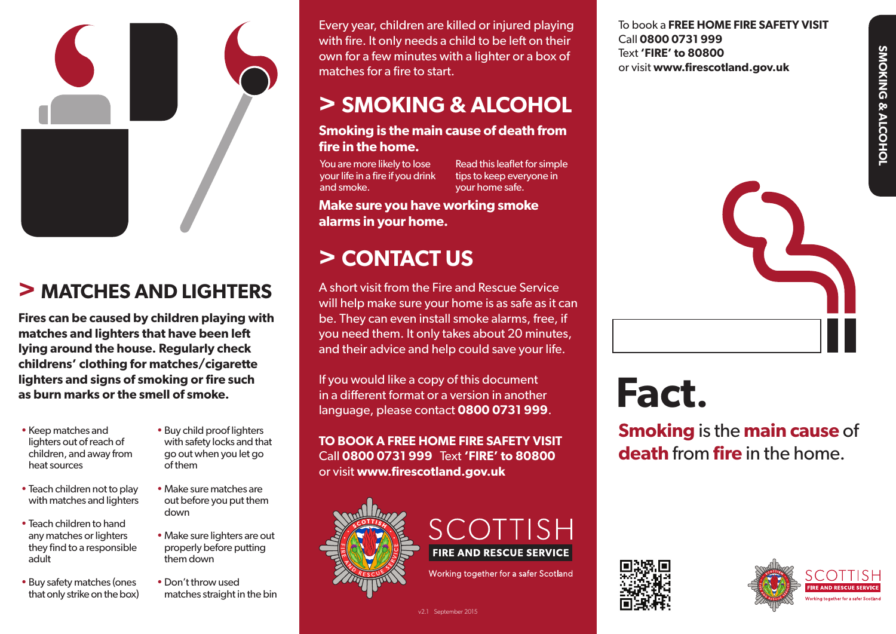

# **> MATCHES AND LIGHTERS**

**Fires can be caused by children playing with matches and lighters that have been left lying around the house. Regularly check childrens' clothing for matches/cigarette lighters and signs of smoking or fire such as burn marks or the smell of smoke.**

- Keep matches and lighters out of reach of children, and away from heat sources
- Teach children not to play with matches and lighters
- Teach children to hand any matches or lighters they find to a responsible adult
- Buy safety matches (ones that only strike on the box)
- Buy child proof lighters with safety locks and that go out when you let go of them
- Make sure matches are out before you put them down
- Make sure lighters are out properly before putting them down
- Don't throw used matches straight in the bin

Every year, children are killed or injured playing with fire. It only needs a child to be left on their own for a few minutes with a lighter or a box of matches for a fire to start.

## **> SMOKING & ALCOHOL**

#### **Smoking is the main cause of death from fire in the home.**

You are more likely to lose your life in a fire if you drink and smoke.

Read this leaflet for simple tips to keep everyone in your home safe.

**Make sure you have working smoke alarms in your home.**

## **> CONTACT US**

A short visit from the Fire and Rescue Service will help make sure your home is as safe as it can be. They can even install smoke alarms, free, if you need them. It only takes about 20 minutes, and their advice and help could save your life.

If you would like a copy of this document in a different format or a version in another language, please contact **0800 0731 999**.

**TO BOOK A FREE HOME FIRE SAFETY VISIT** Call **0800 0731 999** Text **'FIRE' to 80800** or visit **www.firescotland.gov.uk**

v2.1 September 2015





Working together for a safer Scotland

**Fact.**

**Smoking** is the **main cause** of **death** from **fire** in the home.





**SMOKING & ALCOHOL**

SMOKING & ALCOHOI